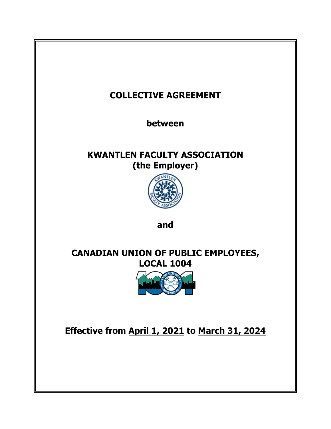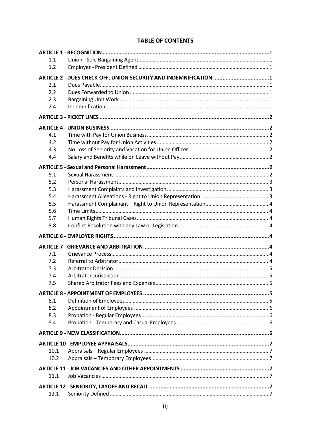| 1.1  |                                                                  |  |
|------|------------------------------------------------------------------|--|
| 1.2  |                                                                  |  |
|      | ARTICLE 2 - DUES CHECK-OFF, UNION SECURITY AND INDEMNIFICATION 1 |  |
| 2.1  |                                                                  |  |
| 2.2  |                                                                  |  |
| 2.3  |                                                                  |  |
| 2.4  |                                                                  |  |
|      |                                                                  |  |
|      |                                                                  |  |
| 4.1  |                                                                  |  |
| 4.2  |                                                                  |  |
| 4.3  |                                                                  |  |
| 4.4  |                                                                  |  |
|      |                                                                  |  |
| 5.1  |                                                                  |  |
| 5.2  |                                                                  |  |
| 5.3  |                                                                  |  |
| 5.4  |                                                                  |  |
| 5.5  |                                                                  |  |
| 5.6  |                                                                  |  |
| 5.7  |                                                                  |  |
| 5.8  |                                                                  |  |
|      |                                                                  |  |
|      |                                                                  |  |
|      |                                                                  |  |
| 7.1  |                                                                  |  |
| 7.2  |                                                                  |  |
| 7.3  |                                                                  |  |
| 7.4  |                                                                  |  |
| 7.5  |                                                                  |  |
|      |                                                                  |  |
| 8.1  |                                                                  |  |
| 8.2  |                                                                  |  |
| 8.3  |                                                                  |  |
| 8.4  |                                                                  |  |
|      |                                                                  |  |
|      |                                                                  |  |
|      |                                                                  |  |
|      |                                                                  |  |
| 10.1 |                                                                  |  |
| 10.2 |                                                                  |  |
|      |                                                                  |  |
| 11.1 |                                                                  |  |
|      |                                                                  |  |

# **TABLE OF CONTENTS**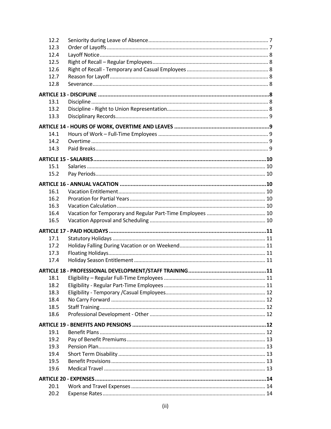| 12.2         |  |
|--------------|--|
| 12.3         |  |
| 12.4         |  |
| 12.5         |  |
| 12.6         |  |
| 12.7         |  |
| 12.8         |  |
|              |  |
| 13.1         |  |
| 13.2         |  |
| 13.3         |  |
|              |  |
| 14.1         |  |
| 14.2         |  |
| 14.3         |  |
|              |  |
|              |  |
| 15.1         |  |
| 15.2         |  |
|              |  |
| 16.1         |  |
| 16.2         |  |
| 16.3         |  |
| 16.4         |  |
|              |  |
| 16.5         |  |
|              |  |
| 17.1         |  |
| 17.2         |  |
| 17.3         |  |
| 17.4         |  |
|              |  |
|              |  |
| 18.1         |  |
| 18.2         |  |
| 18.3<br>18.4 |  |
| 18.5         |  |
| 18.6         |  |
|              |  |
|              |  |
| 19.1         |  |
| 19.2         |  |
| 19.3         |  |
| 19.4         |  |
| 19.5         |  |
| 19.6         |  |
|              |  |
| 20.1<br>20.2 |  |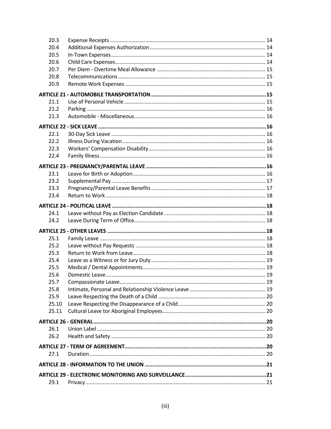| 20.3  |  |
|-------|--|
| 20.4  |  |
| 20.5  |  |
| 20.6  |  |
| 20.7  |  |
| 20.8  |  |
| 20.9  |  |
|       |  |
| 21.1  |  |
| 21.2  |  |
| 21.3  |  |
|       |  |
| 22.1  |  |
| 22.2  |  |
| 22.3  |  |
| 22.4  |  |
|       |  |
|       |  |
| 23.1  |  |
| 23.2  |  |
| 23.3  |  |
| 23.4  |  |
|       |  |
| 24.1  |  |
| 24.2  |  |
|       |  |
| 25.1  |  |
| 25.2  |  |
| 25.3  |  |
| 25.4  |  |
| 25.5  |  |
| 25.6  |  |
| 25.7  |  |
| 25.8  |  |
| 25.9  |  |
| 25.10 |  |
| 25.11 |  |
|       |  |
| 26.1  |  |
| 26.2  |  |
|       |  |
| 27.1  |  |
|       |  |
|       |  |
|       |  |
| 29.1  |  |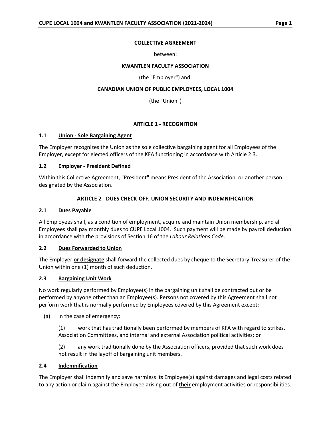### **COLLECTIVE AGREEMENT**

#### between:

#### **KWANTLEN FACULTY ASSOCIATION**

(the "Employer") and:

## **CANADIAN UNION OF PUBLIC EMPLOYEES, LOCAL 1004**

(the "Union")

## **ARTICLE 1 - RECOGNITION**

### <span id="page-5-1"></span><span id="page-5-0"></span>**1.1 Union - Sole Bargaining Agent**

The Employer recognizes the Union as the sole collective bargaining agent for all Employees of the Employer, except for elected officers of the KFA functioning in accordance with Article 2.3.

### <span id="page-5-2"></span>**1.2 Employer - President Defined**

Within this Collective Agreement, "President" means President of the Association, or another person designated by the Association.

### **ARTICLE 2 - DUES CHECK-OFF, UNION SECURITY AND INDEMNIFICATION**

### <span id="page-5-4"></span><span id="page-5-3"></span>**2.1 Dues Payable**

All Employees shall, as a condition of employment, acquire and maintain Union membership, and all Employees shall pay monthly dues to CUPE Local 1004. Such payment will be made by payroll deduction in accordance with the provisions of Section 16 of the *Labour Relations Code*.

### <span id="page-5-5"></span>**2.2 Dues Forwarded to Union**

The Employer **or designate** shall forward the collected dues by cheque to the Secretary-Treasurer of the Union within one (1) month of such deduction.

### <span id="page-5-6"></span>**2.3 Bargaining Unit Work**

No work regularly performed by Employee(s) in the bargaining unit shall be contracted out or be performed by anyone other than an Employee(s). Persons not covered by this Agreement shall not perform work that is normally performed by Employees covered by this Agreement except:

(a) in the case of emergency:

(1) work that has traditionally been performed by members of KFA with regard to strikes, Association Committees, and internal and external Association political activities; or

(2) any work traditionally done by the Association officers, provided that such work does not result in the layoff of bargaining unit members.

### <span id="page-5-7"></span>**2.4 Indemnification**

The Employer shall indemnify and save harmless its Employee(s) against damages and legal costs related to any action or claim against the Employee arising out of **their** employment activities or responsibilities.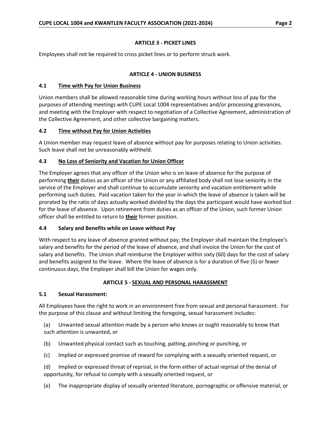## **ARTICLE 3 - PICKET LINES**

<span id="page-6-0"></span>Employees shall not be required to cross picket lines or to perform struck work.

## **ARTICLE 4 - UNION BUSINESS**

## <span id="page-6-2"></span><span id="page-6-1"></span>**4.1 Time with Pay for Union Business**

Union members shall be allowed reasonable time during working hours without loss of pay for the purposes of attending meetings with CUPE Local 1004 representatives and/or processing grievances, and meeting with the Employer with respect to negotiation of a Collective Agreement, administration of the Collective Agreement, and other collective bargaining matters.

# <span id="page-6-3"></span>**4.2 Time without Pay for Union Activities**

A Union member may request leave of absence without pay for purposes relating to Union activities. Such leave shall not be unreasonably withheld.

## <span id="page-6-4"></span>**4.3 No Loss of Seniority and Vacation for Union Officer**

The Employer agrees that any officer of the Union who is on leave of absence for the purpose of performing **their** duties as an officer of the Union or any affiliated body shall not lose seniority in the service of the Employer and shall continue to accumulate seniority and vacation entitlement while performing such duties. Paid vacation taken for the year in which the leave of absence is taken will be prorated by the ratio of days actually worked divided by the days the participant would have worked but for the leave of absence. Upon retirement from duties as an officer of the Union, such former Union officer shall be entitled to return to **their** former position.

### <span id="page-6-5"></span>**4.4 Salary and Benefits while on Leave without Pay**

With respect to any leave of absence granted without pay, the Employer shall maintain the Employee's salary and benefits for the period of the leave of absence, and shall invoice the Union for the cost of salary and benefits. The Union shall reimburse the Employer within sixty (60) days for the cost of salary and benefits assigned to the leave. Where the leave of absence is for a duration of five (5) or fewer continuous days, the Employer shall bill the Union for wages only.

# **ARTICLE 5 - SEXUAL AND PERSONAL HARASSMENT**

# <span id="page-6-7"></span><span id="page-6-6"></span>**5.1 Sexual Harassment:**

All Employees have the right to work in an environment free from sexual and personal harassment. For the purpose of this clause and without limiting the foregoing, sexual harassment includes:

(a) Unwanted sexual attention made by a person who knows or ought reasonably to know that such attention is unwanted, or

- (b) Unwanted physical contact such as touching, patting, pinching or punching, or
- (c) Implied or expressed promise of reward for complying with a sexually oriented request, or
- (d) Implied or expressed threat of reprisal, in the form either of actual reprisal of the denial of opportunity, for refusal to comply with a sexually oriented request, or
- (e) The inappropriate display of sexually oriented literature, pornographic or offensive material, or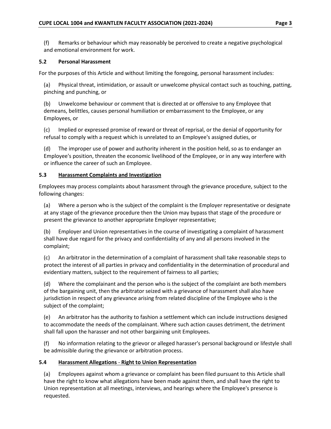(f) Remarks or behaviour which may reasonably be perceived to create a negative psychological and emotional environment for work.

## <span id="page-7-0"></span>**5.2 Personal Harassment**

For the purposes of this Article and without limiting the foregoing, personal harassment includes:

(a) Physical threat, intimidation, or assault or unwelcome physical contact such as touching, patting, pinching and punching, or

(b) Unwelcome behaviour or comment that is directed at or offensive to any Employee that demeans, belittles, causes personal humiliation or embarrassment to the Employee, or any Employees, or

(c) Implied or expressed promise of reward or threat of reprisal, or the denial of opportunity for refusal to comply with a request which is unrelated to an Employee's assigned duties, or

(d) The improper use of power and authority inherent in the position held, so as to endanger an Employee's position, threaten the economic livelihood of the Employee, or in any way interfere with or influence the career of such an Employee.

## <span id="page-7-1"></span>**5.3 Harassment Complaints and Investigation**

Employees may process complaints about harassment through the grievance procedure, subject to the following changes:

(a) Where a person who is the subject of the complaint is the Employer representative or designate at any stage of the grievance procedure then the Union may bypass that stage of the procedure or present the grievance to another appropriate Employer representative;

(b) Employer and Union representatives in the course of investigating a complaint of harassment shall have due regard for the privacy and confidentiality of any and all persons involved in the complaint;

(c) An arbitrator in the determination of a complaint of harassment shall take reasonable steps to protect the interest of all parties in privacy and confidentiality in the determination of procedural and evidentiary matters, subject to the requirement of fairness to all parties;

(d) Where the complainant and the person who is the subject of the complaint are both members of the bargaining unit, then the arbitrator seized with a grievance of harassment shall also have jurisdiction in respect of any grievance arising from related discipline of the Employee who is the subject of the complaint;

(e) An arbitrator has the authority to fashion a settlement which can include instructions designed to accommodate the needs of the complainant. Where such action causes detriment, the detriment shall fall upon the harasser and not other bargaining unit Employees.

(f) No information relating to the grievor or alleged harasser's personal background or lifestyle shall be admissible during the grievance or arbitration process.

### <span id="page-7-2"></span>**5.4 Harassment Allegations** - **Right to Union Representation**

(a) Employees against whom a grievance or complaint has been filed pursuant to this Article shall have the right to know what allegations have been made against them, and shall have the right to Union representation at all meetings, interviews, and hearings where the Employee's presence is requested.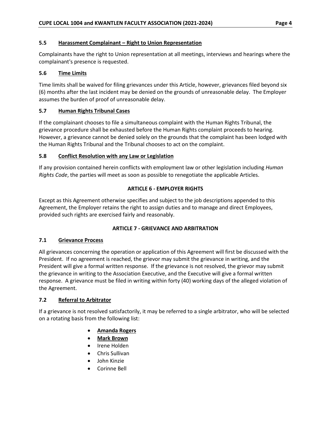## <span id="page-8-0"></span>**5.5 Harassment Complainant – Right to Union Representation**

Complainants have the right to Union representation at all meetings, interviews and hearings where the complainant's presence is requested.

## <span id="page-8-1"></span>**5.6 Time Limits**

Time limits shall be waived for filing grievances under this Article, however, grievances filed beyond six (6) months after the last incident may be denied on the grounds of unreasonable delay. The Employer assumes the burden of proof of unreasonable delay.

## <span id="page-8-2"></span>**5.7 Human Rights Tribunal Cases**

If the complainant chooses to file a simultaneous complaint with the Human Rights Tribunal, the grievance procedure shall be exhausted before the Human Rights complaint proceeds to hearing. However, a grievance cannot be denied solely on the grounds that the complaint has been lodged with the Human Rights Tribunal and the Tribunal chooses to act on the complaint.

## <span id="page-8-3"></span>**5.8 Conflict Resolution with any Law or Legislation**

If any provision contained herein conflicts with employment law or other legislation including *Human Rights Code*, the parties will meet as soon as possible to renegotiate the applicable Articles.

## **ARTICLE 6 - EMPLOYER RIGHTS**

<span id="page-8-4"></span>Except as this Agreement otherwise specifies and subject to the job descriptions appended to this Agreement, the Employer retains the right to assign duties and to manage and direct Employees, provided such rights are exercised fairly and reasonably.

# **ARTICLE 7 - GRIEVANCE AND ARBITRATION**

# <span id="page-8-6"></span><span id="page-8-5"></span>**7.1 Grievance Process**

All grievances concerning the operation or application of this Agreement will first be discussed with the President. If no agreement is reached, the grievor may submit the grievance in writing, and the President will give a formal written response. If the grievance is not resolved, the grievor may submit the grievance in writing to the Association Executive, and the Executive will give a formal written response. A grievance must be filed in writing within forty (40) working days of the alleged violation of the Agreement.

### <span id="page-8-7"></span>**7.2 Referral to Arbitrator**

If a grievance is not resolved satisfactorily, it may be referred to a single arbitrator, who will be selected on a rotating basis from the following list:

- **Amanda Rogers**
- **Mark Brown**
- Irene Holden
- Chris Sullivan
- John Kinzie
- Corinne Bell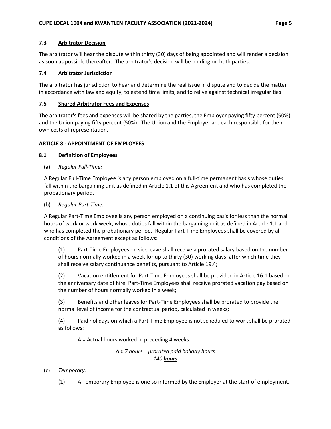### <span id="page-9-0"></span>**7.3 Arbitrator Decision**

The arbitrator will hear the dispute within thirty (30) days of being appointed and will render a decision as soon as possible thereafter. The arbitrator's decision will be binding on both parties.

## <span id="page-9-1"></span>**7.4 Arbitrator Jurisdiction**

The arbitrator has jurisdiction to hear and determine the real issue in dispute and to decide the matter in accordance with law and equity, to extend time limits, and to relive against technical irregularities.

### <span id="page-9-2"></span>**7.5 Shared Arbitrator Fees and Expenses**

The arbitrator's fees and expenses will be shared by the parties, the Employer paying fifty percent (50%) and the Union paying fifty percent (50%). The Union and the Employer are each responsible for their own costs of representation.

## <span id="page-9-3"></span>**ARTICLE 8 - APPOINTMENT OF EMPLOYEES**

## <span id="page-9-4"></span>**8.1 Definition of Employees**

(a) *Regular Full-Time:*

A Regular Full-Time Employee is any person employed on a full-time permanent basis whose duties fall within the bargaining unit as defined in Article 1.1 of this Agreement and who has completed the probationary period.

(b) *Regular Part-Time:*

A Regular Part-Time Employee is any person employed on a continuing basis for less than the normal hours of work or work week, whose duties fall within the bargaining unit as defined in Article 1.1 and who has completed the probationary period. Regular Part-Time Employees shall be covered by all conditions of the Agreement except as follows:

(1) Part-Time Employees on sick leave shall receive a prorated salary based on the number of hours normally worked in a week for up to thirty (30) working days, after which time they shall receive salary continuance benefits, pursuant to Article 19.4;

(2) Vacation entitlement for Part-Time Employees shall be provided in Article 16.1 based on the anniversary date of hire. Part-Time Employees shall receive prorated vacation pay based on the number of hours normally worked in a week;

(3) Benefits and other leaves for Part-Time Employees shall be prorated to provide the normal level of income for the contractual period, calculated in weeks;

(4) Paid holidays on which a Part-Time Employee is not scheduled to work shall be prorated as follows:

A = Actual hours worked in preceding 4 weeks:

# *A x 7 hours = prorated paid holiday hours 140 hours*

- (c) *Temporary:*
	- (1) A Temporary Employee is one so informed by the Employer at the start of employment.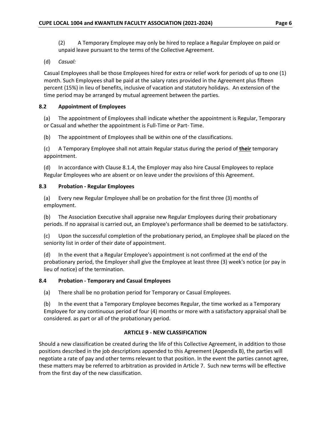(2) A Temporary Employee may only be hired to replace a Regular Employee on paid or unpaid leave pursuant to the terms of the Collective Agreement.

# (d) *Casual:*

Casual Employees shall be those Employees hired for extra or relief work for periods of up to one (1) month. Such Employees shall be paid at the salary rates provided in the Agreement plus fifteen percent (15%) in lieu of benefits, inclusive of vacation and statutory holidays. An extension of the time period may be arranged by mutual agreement between the parties.

## <span id="page-10-0"></span>**8.2 Appointment of Employees**

(a) The appointment of Employees shall indicate whether the appointment is Regular, Temporary or Casual and whether the appointment is Full-Time or Part- Time.

(b) The appointment of Employees shall be within one of the classifications.

(c) A Temporary Employee shall not attain Regular status during the period of **their** temporary appointment.

(d) In accordance with Clause 8.1.4, the Employer may also hire Causal Employees to replace Regular Employees who are absent or on leave under the provisions of this Agreement.

## <span id="page-10-1"></span>**8.3 Probation - Regular Employees**

(a) Every new Regular Employee shall be on probation for the first three (3) months of employment.

(b) The Association Executive shall appraise new Regular Employees during their probationary periods. If no appraisal is carried out, an Employee's performance shall be deemed to be satisfactory.

(c) Upon the successful completion of the probationary period, an Employee shall be placed on the seniority list in order of their date of appointment.

(d) In the event that a Regular Employee's appointment is not confirmed at the end of the probationary period, the Employer shall give the Employee at least three (3) week's notice (or pay in lieu of notice) of the termination.

### <span id="page-10-2"></span>**8.4 Probation - Temporary and Casual Employees**

(a) There shall be no probation period for Temporary or Casual Employees.

(b) In the event that a Temporary Employee becomes Regular, the time worked as a Temporary Employee for any continuous period of four (4) months or more with a satisfactory appraisal shall be considered. as part or all of the probationary period.

### **ARTICLE 9 - NEW CLASSIFICATION**

<span id="page-10-3"></span>Should a new classification be created during the life of this Collective Agreement, in addition to those positions described in the job descriptions appended to this Agreement (Appendix B), the parties will negotiate a rate of pay and other terms relevant to that position. In the event the parties cannot agree, these matters may be referred to arbitration as provided in Article 7. Such new terms will be effective from the first day of the new classification.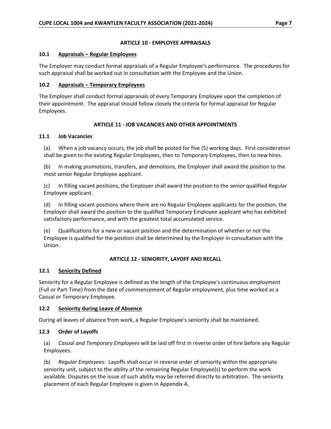### **ARTICLE 10 - EMPLOYEE APPRAISALS**

### <span id="page-11-1"></span><span id="page-11-0"></span>**10.1 Appraisals – Regular Employees**

The Employer may conduct formal appraisals of a Regular Employee's performance. The procedures for such appraisal shall be worked out in consultation with the Employee and the Union.

## <span id="page-11-2"></span>**10.2 Appraisals – Temporary Employees**

The Employer shall conduct formal appraisals of every Temporary Employee upon the completion of their appointment. The appraisal should follow closely the criteria for formal appraisal for Regular Employees.

# **ARTICLE 11 - JOB VACANCIES AND OTHER APPOINTMENTS**

## <span id="page-11-4"></span><span id="page-11-3"></span>**11.1 Job Vacancies**

(a) When a job vacancy occurs, the job shall be posted for five (5) working days. First consideration shall be given to the existing Regular Employees, then to Temporary Employees, then to new hires.

(b) In making promotions, transfers, and demotions, the Employer shall award the position to the most senior Regular Employee applicant.

(c) In filling vacant positions, the Employer shall award the position to the senior qualified Regular Employee applicant.

(d) In filling vacant positions where there are no Regular Employee applicants for the position, the Employer shall award the position to the qualified Temporary Employee applicant who has exhibited satisfactory performance, and with the greatest total accumulated service.

(e) Qualifications for a new or vacant position and the determination of whether or not the Employee is qualified for the position shall be determined by the Employer in consultation with the Union.

# **ARTICLE 12 - SENIORITY, LAYOFF AND RECALL**

# <span id="page-11-6"></span><span id="page-11-5"></span>**12.1 Seniority Defined**

Seniority for a Regular Employee is defined as the length of the Employee's continuous employment (Full or Part-Time) from the date of commencement of Regular employment, plus time worked as a Casual or Temporary Employee.

# <span id="page-11-7"></span>**12.2 Seniority during Leave of Absence**

During all leaves of absence from work, a Regular Employee's seniority shall be maintained.

# <span id="page-11-8"></span>**12.3 Order of Layoffs**

(a) *Casual and Temporary Employees* will be laid off first in reverse order of hire before any Regular Employees.

(b) *Regular Employees:* Layoffs shall occur in reverse order of seniority within the appropriate seniority unit, subject to the ability of the remaining Regular Employee(s) to perform the work available. Disputes on the issue of such ability may be referred directly to arbitration. The seniority placement of each Regular Employee is given in Appendix A.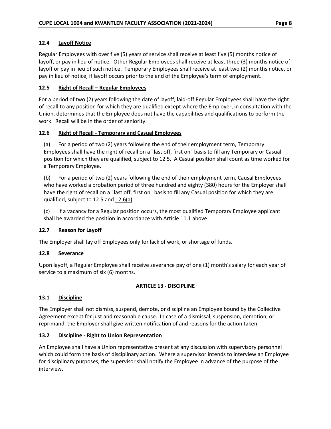# <span id="page-12-0"></span>**12.4 Layoff Notice**

Regular Employees with over five (5) years of service shall receive at least five (5) months notice of layoff, or pay in lieu of notice. Other Regular Employees shall receive at least three (3) months notice of layoff or pay in lieu of such notice. Temporary Employees shall receive at least two (2) months notice, or pay in lieu of notice, if layoff occurs prior to the end of the Employee's term of employment.

# <span id="page-12-1"></span>**12.5 Right of Recall – Regular Employees**

For a period of two (2) years following the date of layoff, laid-off Regular Employees shall have the right of recall to any position for which they are qualified except where the Employer, in consultation with the Union, determines that the Employee does not have the capabilities and qualifications to perform the work. Recall will be in the order of seniority.

## <span id="page-12-2"></span>**12.6 Right of Recall - Temporary and Casual Employees**

(a) For a period of two (2) years following the end of their employment term, Temporary Employees shall have the right of recall on a "last off, first on" basis to fill any Temporary or Casual position for which they are qualified, subject to 12.5. A Casual position shall count as time worked for a Temporary Employee.

(b) For a period of two (2) years following the end of their employment term, Causal Employees who have worked a probation period of three hundred and eighty (380) hours for the Employer shall have the right of recall on a "last off, first on" basis to fill any Casual position for which they are qualified, subject to 12.5 and  $12.6(a)$ .

(c) If a vacancy for a Regular position occurs, the most qualified Temporary Employee applicant shall be awarded the position in accordance with Article 11.1 above.

### <span id="page-12-3"></span>**12.7 Reason for Layoff**

The Employer shall lay off Employees only for lack of work, or shortage of funds.

# <span id="page-12-4"></span>**12.8 Severance**

Upon layoff, a Regular Employee shall receive severance pay of one (1) month's salary for each year of service to a maximum of six (6) months.

# **ARTICLE 13 - DISCIPLINE**

# <span id="page-12-6"></span><span id="page-12-5"></span>**13.1 Discipline**

The Employer shall not dismiss, suspend, demote, or discipline an Employee bound by the Collective Agreement except for just and reasonable cause. In case of a dismissal, suspension, demotion, or reprimand, the Employer shall give written notification of and reasons for the action taken.

### <span id="page-12-7"></span>**13.2 Discipline - Right to Union Representation**

An Employee shall have a Union representative present at any discussion with supervisory personnel which could form the basis of disciplinary action. Where a supervisor intends to interview an Employee for disciplinary purposes, the supervisor shall notify the Employee in advance of the purpose of the interview.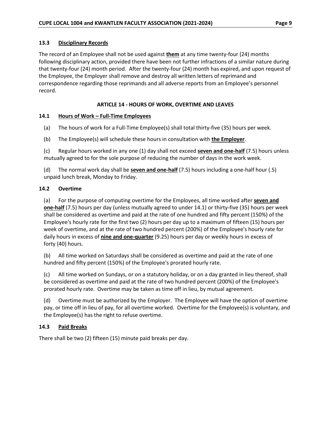## <span id="page-13-0"></span>**13.3 Disciplinary Records**

The record of an Employee shall not be used against **them** at any time twenty-four (24) months following disciplinary action, provided there have been not further infractions of a similar nature during that twenty-four (24) month period. After the twenty-four (24) month has expired, and upon request of the Employee, the Employer shall remove and destroy all written letters of reprimand and correspondence regarding those reprimands and all adverse reports from an Employee's personnel record.

## **ARTICLE 14 - HOURS OF WORK, OVERTIME AND LEAVES**

## <span id="page-13-2"></span><span id="page-13-1"></span>**14.1 Hours of Work – Full-Time Employees**

- (a) The hours of work for a Full-Time Employee(s) shall total thirty-five (35) hours per week.
- (b) The Employee(s) will schedule these hours in consultation with **the Employer**.

(c) Regular hours worked in any one (1) day shall not exceed **seven and one-half** (7.5) hours unless mutually agreed to for the sole purpose of reducing the number of days in the work week.

(d) The normal work day shall be **seven and one-half** (7.5) hours including a one-half hour (.5) unpaid lunch break, Monday to Friday.

## <span id="page-13-3"></span>**14.2 Overtime**

(a) For the purpose of computing overtime for the Employees, all time worked after **seven and one-half** (7.5) hours per day (unless mutually agreed to under 14.1) or thirty-five (35) hours per week shall be considered as overtime and paid at the rate of one hundred and fifty percent (150%) of the Employee's hourly rate for the first two (2) hours per day up to a maximum of fifteen (15) hours per week of overtime, and at the rate of two hundred percent (200%) of the Employee's hourly rate for daily hours in excess of **nine and one-quarter** (9.25) hours per day or weekly hours in excess of forty (40) hours.

(b) All time worked on Saturdays shall be considered as overtime and paid at the rate of one hundred and fifty percent (150%) of the Employee's prorated hourly rate.

(c) All time worked on Sundays, or on a statutory holiday, or on a day granted in lieu thereof, shall be considered as overtime and paid at the rate of two hundred percent (200%) of the Employee's prorated hourly rate. Overtime may be taken as time off in lieu, by mutual agreement.

(d) Overtime must be authorized by the Employer. The Employee will have the option of overtime pay, or time off in lieu of pay, for all overtime worked. Overtime for the Employee(s) is voluntary, and the Employee(s) has the right to refuse overtime.

# <span id="page-13-4"></span>**14.3 Paid Breaks**

There shall be two (2) fifteen (15) minute paid breaks per day.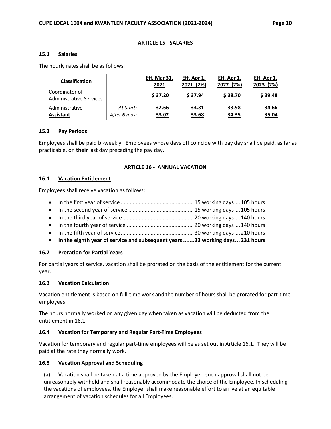#### **ARTICLE 15 - SALARIES**

#### <span id="page-14-1"></span><span id="page-14-0"></span>**15.1 Salaries**

The hourly rates shall be as follows:

| <b>Classification</b>                            |                           | <b>Eff. Mar 31,</b><br>2021 | Eff. Apr 1,<br>2021 (2%) | Eff. Apr 1,<br>2022 (2%) | Eff. Apr 1,<br>2023 (2%) |
|--------------------------------------------------|---------------------------|-----------------------------|--------------------------|--------------------------|--------------------------|
| Coordinator of<br><b>Administrative Services</b> |                           | \$37.20                     | \$37.94                  | \$38.70                  | \$39.48                  |
| Administrative<br><b>Assistant</b>               | At Start:<br>After 6 mos: | 32.66<br>33.02              | 33.31<br>33.68           | 33.98<br>34.35           | 34.66<br>35.04           |

#### <span id="page-14-2"></span>**15.2 Pay Periods**

Employees shall be paid bi-weekly. Employees whose days off coincide with pay day shall be paid, as far as practicable, on **their** last day preceding the pay day.

#### <span id="page-14-3"></span>**ARTICLE 16 - ANNUAL VACATION**

#### <span id="page-14-4"></span>**16.1 Vacation Entitlement**

Employees shall receive vacation as follows:

- In the first year of service .................................................15 working days....105 hours
- In the second year of service ............................................15 working days....105 hours
- In the third year of service................................................20 working days....140 hours
- In the fourth year of service .............................................20 working days....140 hours
- In the fifth year of service.................................................30 working days....210 hours
- **In the eighth year of service and subsequent years.......33 working days... 231 hours**

### <span id="page-14-5"></span>**16.2 Proration for Partial Years**

For partial years of service, vacation shall be prorated on the basis of the entitlement for the current year.

### <span id="page-14-6"></span>**16.3 Vacation Calculation**

Vacation entitlement is based on full-time work and the number of hours shall be prorated for part-time employees.

The hours normally worked on any given day when taken as vacation will be deducted from the entitlement in 16.1.

### <span id="page-14-7"></span>**16.4 Vacation for Temporary and Regular Part-Time Employees**

Vacation for temporary and regular part-time employees will be as set out in Article 16.1. They will be paid at the rate they normally work.

### <span id="page-14-8"></span>**16.5 Vacation Approval and Scheduling**

(a) Vacation shall be taken at a time approved by the Employer; such approval shall not be unreasonably withheld and shall reasonably accommodate the choice of the Employee. In scheduling the vacations of employees, the Employer shall make reasonable effort to arrive at an equitable arrangement of vacation schedules for all Employees.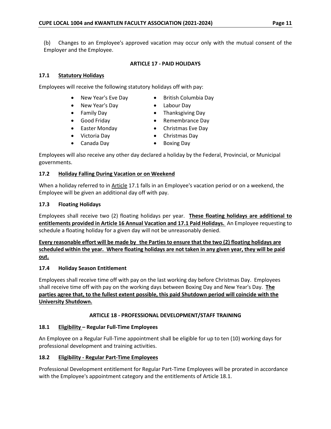(b) Changes to an Employee's approved vacation may occur only with the mutual consent of the Employer and the Employee.

## **ARTICLE 17 - PAID HOLIDAYS**

### <span id="page-15-1"></span><span id="page-15-0"></span>**17.1 Statutory Holidays**

Employees will receive the following statutory holidays off with pay:

- New Year's Eve Day British Columbia Day
- New Year's Day **•** Labour Day
- 
- 
- Family Day  **Thanksgiving Day**
- Good Friday Remembrance Day
- Easter Monday Christmas Eve Day
- Victoria Day Christmas Day
- Canada Day Boxing Day
	-

Employees will also receive any other day declared a holiday by the Federal, Provincial, or Municipal governments.

## <span id="page-15-2"></span>**17.2 Holiday Falling During Vacation or on Weekend**

When a holiday referred to in Article 17.1 falls in an Employee's vacation period or on a weekend, the Employee will be given an additional day off with pay.

## <span id="page-15-3"></span>**17.3 Floating Holidays**

Employees shall receive two (2) floating holidays per year. **These floating holidays are additional to entitlements provided in Article 16 Annual Vacation and 17.1 Paid Holidays.** An Employee requesting to schedule a floating holiday for a given day will not be unreasonably denied.

# **Every reasonable effort will be made by the Parties to ensure that the two (2) floating holidays are scheduled within the year. Where floating holidays are not taken in any given year, they will be paid out.**

# <span id="page-15-4"></span>**17.4 Holiday Season Entitlement**

Employees shall receive time off with pay on the last working day before Christmas Day. Employees shall receive time off with pay on the working days between Boxing Day and New Year's Day. **The parties agree that, to the fullest extent possible, this paid Shutdown period will coincide with the University Shutdown.**

# **ARTICLE 18 - PROFESSIONAL DEVELOPMENT/STAFF TRAINING**

# <span id="page-15-6"></span><span id="page-15-5"></span>**18.1 Eligibility – Regular Full-Time Employees**

An Employee on a Regular Full-Time appointment shall be eligible for up to ten (10) working days for professional development and training activities.

### <span id="page-15-7"></span>**18.2 Eligibility - Regular Part-Time Employees**

Professional Development entitlement for Regular Part-Time Employees will be prorated in accordance with the Employee's appointment category and the entitlements of Article 18.1.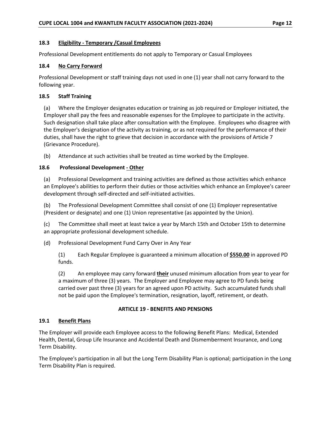### <span id="page-16-0"></span>**18.3 Eligibility - Temporary /Casual Employees**

Professional Development entitlements do not apply to Temporary or Casual Employees

### <span id="page-16-1"></span>**18.4 No Carry Forward**

Professional Development or staff training days not used in one (1) year shall not carry forward to the following year.

### <span id="page-16-2"></span>**18.5 Staff Training**

(a) Where the Employer designates education or training as job required or Employer initiated, the Employer shall pay the fees and reasonable expenses for the Employee to participate in the activity. Such designation shall take place after consultation with the Employee. Employees who disagree with the Employer's designation of the activity as training, or as not required for the performance of their duties, shall have the right to grieve that decision in accordance with the provisions of Article 7 (Grievance Procedure).

<span id="page-16-3"></span>(b) Attendance at such activities shall be treated as time worked by the Employee.

## **18.6 Professional Development - Other**

(a) Professional Development and training activities are defined as those activities which enhance an Employee's abilities to perform their duties or those activities which enhance an Employee's career development through self-directed and self-initiated activities.

(b) The Professional Development Committee shall consist of one (1) Employer representative (President or designate) and one (1) Union representative (as appointed by the Union).

(c) The Committee shall meet at least twice a year by March 15th and October 15th to determine an appropriate professional development schedule.

(d) Professional Development Fund Carry Over in Any Year

(1) Each Regular Employee is guaranteed a minimum allocation of **\$550.00** in approved PD funds.

(2) An employee may carry forward **their** unused minimum allocation from year to year for a maximum of three (3) years. The Employer and Employee may agree to PD funds being carried over past three (3) years for an agreed upon PD activity. Such accumulated funds shall not be paid upon the Employee's termination, resignation, layoff, retirement, or death.

### **ARTICLE 19 - BENEFITS AND PENSIONS**

### <span id="page-16-5"></span><span id="page-16-4"></span>**19.1 Benefit Plans**

The Employer will provide each Employee access to the following Benefit Plans: Medical, Extended Health, Dental, Group Life Insurance and Accidental Death and Dismemberment Insurance, and Long Term Disability.

The Employee's participation in all but the Long Term Disability Plan is optional; participation in the Long Term Disability Plan is required.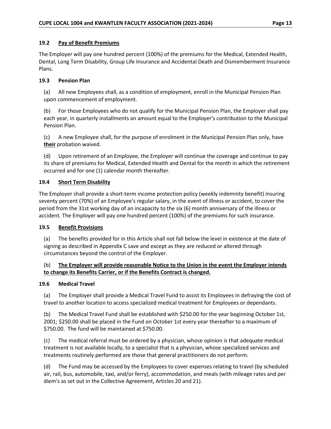### <span id="page-17-0"></span>**19.2 Pay of Benefit Premiums**

The Employer will pay one hundred percent (100%) of the premiums for the Medical, Extended Health, Dental, Long Term Disability, Group Life Insurance and Accidental Death and Dismemberment Insurance Plans.

## <span id="page-17-1"></span>**19.3 Pension Plan**

(a) All new Employees shall, as a condition of employment, enroll in the Municipal Pension Plan upon commencement of employment.

(b) For those Employees who do not qualify for the Municipal Pension Plan, the Employer shall pay each year, in quarterly installments an amount equal to the Employer's contribution to the Municipal Pension Plan.

(c) A new Employee shall, for the purpose of enrolment in the Municipal Pension Plan only, have **their** probation waived.

(d) Upon retirement of an Employee, the Employer will continue the coverage and continue to pay its share of premiums for Medical, Extended Health and Dental for the month in which the retirement occurred and for one (1) calendar month thereafter.

# <span id="page-17-2"></span>**19.4 Short Term Disability**

The Employer shall provide a short-term income protection policy (weekly indemnity benefit) insuring seventy percent (70%) of an Employee's regular salary, in the event of illness or accident, to cover the period from the 31st working day of an incapacity to the six (6) month anniversary of the illness or accident. The Employer will pay one hundred percent (100%) of the premiums for such insurance.

### <span id="page-17-3"></span>**19.5 Benefit Provisions**

(a) The benefits provided for in this Article shall not fall below the level in existence at the date of signing as described in Appendix C save and except as they are reduced or altered through circumstances beyond the control of the Employer.

# (b) **The Employer will provide reasonable Notice to the Union in the event the Employer intends to change its Benefits Carrier, or if the Benefits Contract is changed.**

### <span id="page-17-4"></span>**19.6 Medical Travel**

(a) The Employer shall provide a Medical Travel Fund to assist its Employees in defraying the cost of travel to another location to access specialized medical treatment for Employees or dependants.

(b) The Medical Travel Fund shall be established with \$250.00 for the year beginning October 1st, 2001; \$250.00 shall be placed in the Fund on October 1st every year thereafter to a maximum of \$750.00. The fund will be maintained at \$750.00.

(c) The medical referral must be ordered by a physician, whose opinion is that adequate medical treatment is not available locally, to a specialist that is a physician, whose specialized services and treatments routinely performed are those that general practitioners do not perform.

(d) The Fund may be accessed by the Employees to cover expenses relating to travel (by scheduled air, rail, bus, automobile, taxi, and/or ferry), accommodation, and meals (with mileage rates and per diem's as set out in the Collective Agreement, Articles 20 and 21).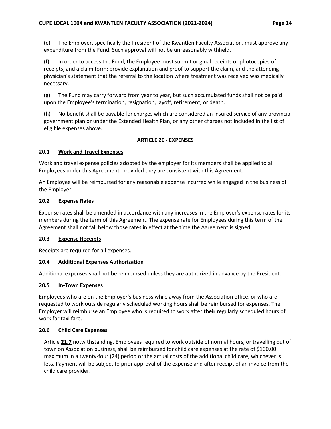(e) The Employer, specifically the President of the Kwantlen Faculty Association, must approve any expenditure from the Fund. Such approval will not be unreasonably withheld.

(f) In order to access the Fund, the Employee must submit original receipts or photocopies of receipts, and a claim form; provide explanation and proof to support the claim, and the attending physician's statement that the referral to the location where treatment was received was medically necessary.

(g) The Fund may carry forward from year to year, but such accumulated funds shall not be paid upon the Employee's termination, resignation, layoff, retirement, or death.

(h) No benefit shall be payable for charges which are considered an insured service of any provincial government plan or under the Extended Health Plan, or any other charges not included in the list of eligible expenses above.

# **ARTICLE 20 - EXPENSES**

## <span id="page-18-1"></span><span id="page-18-0"></span>**20.1 Work and Travel Expenses**

Work and travel expense policies adopted by the employer for its members shall be applied to all Employees under this Agreement, provided they are consistent with this Agreement.

An Employee will be reimbursed for any reasonable expense incurred while engaged in the business of the Employer.

## <span id="page-18-2"></span>**20.2 Expense Rates**

Expense rates shall be amended in accordance with any increases in the Employer's expense rates for its members during the term of this Agreement. The expense rate for Employees during this term of the Agreement shall not fall below those rates in effect at the time the Agreement is signed.

### <span id="page-18-3"></span>**20.3 Expense Receipts**

Receipts are required for all expenses.

# <span id="page-18-4"></span>**20.4 Additional Expenses Authorization**

Additional expenses shall not be reimbursed unless they are authorized in advance by the President.

### <span id="page-18-5"></span>**20.5 In-Town Expenses**

Employees who are on the Employer's business while away from the Association office, or who are requested to work outside regularly scheduled working hours shall be reimbursed for expenses. The Employer will reimburse an Employee who is required to work after **their** regularly scheduled hours of work for taxi fare.

### <span id="page-18-6"></span>**20.6 Child Care Expenses**

Article **21.7** notwithstanding, Employees required to work outside of normal hours, or travelling out of town on Association business, shall be reimbursed for child care expenses at the rate of \$100.00 maximum in a twenty-four (24) period or the actual costs of the additional child care, whichever is less. Payment will be subject to prior approval of the expense and after receipt of an invoice from the child care provider.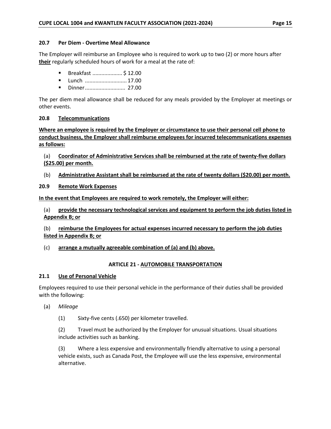### <span id="page-19-0"></span>**20.7 Per Diem - Overtime Meal Allowance**

The Employer will reimburse an Employee who is required to work up to two (2) or more hours after **their** regularly scheduled hours of work for a meal at the rate of:

- Breakfast ....................... \$12.00
- Lunch ................................ 17.00
- Dinner........................... 27.00

The per diem meal allowance shall be reduced for any meals provided by the Employer at meetings or other events.

### <span id="page-19-1"></span>**20.8 Telecommunications**

**Where an employee is required by the Employer or circumstance to use their personal cell phone to conduct business, the Employer shall reimburse employees for incurred telecommunications expenses as follows:**

(a) **Coordinator of Administrative Services shall be reimbursed at the rate of twenty-five dollars (\$25.00) per month.**

(b) **Administrative Assistant shall be reimbursed at the rate of twenty dollars (\$20.00) per month.**

### <span id="page-19-2"></span>**20.9 Remote Work Expenses**

**In the event that Employees are required to work remotely, the Employer will either:**

(a) **provide the necessary technological services and equipment to perform the job duties listed in Appendix B; or**

(b) **reimburse the Employees for actual expenses incurred necessary to perform the job duties listed in Appendix B; or**

<span id="page-19-3"></span>(c) **arrange a mutually agreeable combination of (a) and (b) above.**

### **ARTICLE 21 - AUTOMOBILE TRANSPORTATION**

### <span id="page-19-4"></span>**21.1 Use of Personal Vehicle**

Employees required to use their personal vehicle in the performance of their duties shall be provided with the following:

(a) *Mileage*

(1) Sixty-five cents (.650) per kilometer travelled.

(2) Travel must be authorized by the Employer for unusual situations. Usual situations include activities such as banking.

(3) Where a less expensive and environmentally friendly alternative to using a personal vehicle exists, such as Canada Post, the Employee will use the less expensive, environmental alternative.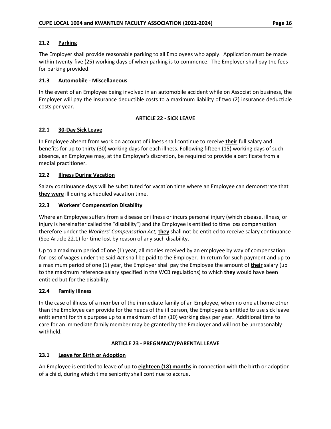## <span id="page-20-0"></span>**21.2 Parking**

The Employer shall provide reasonable parking to all Employees who apply. Application must be made within twenty-five (25) working days of when parking is to commence. The Employer shall pay the fees for parking provided.

## <span id="page-20-1"></span>**21.3 Automobile - Miscellaneous**

In the event of an Employee being involved in an automobile accident while on Association business, the Employer will pay the insurance deductible costs to a maximum liability of two (2) insurance deductible costs per year.

## **ARTICLE 22 - SICK LEAVE**

# <span id="page-20-3"></span><span id="page-20-2"></span>**22.1 30-Day Sick Leave**

In Employee absent from work on account of illness shall continue to receive **their** full salary and benefits for up to thirty (30) working days for each illness. Following fifteen (15) working days of such absence, an Employee may, at the Employer's discretion, be required to provide a certificate from a medial practitioner.

## <span id="page-20-4"></span>**22.2 Illness During Vacation**

Salary continuance days will be substituted for vacation time where an Employee can demonstrate that **they were** ill during scheduled vacation time.

## <span id="page-20-5"></span>**22.3 Workers' Compensation Disability**

Where an Employee suffers from a disease or illness or incurs personal injury (which disease, illness, or injury is hereinafter called the "disability") and the Employee is entitled to time loss compensation therefore under the *Workers' Compensation Act,* **they** shall not be entitled to receive salary continuance (See Article 22.1) for time lost by reason of any such disability.

Up to a maximum period of one (1) year, all monies received by an employee by way of compensation for loss of wages under the said *Act* shall be paid to the Employer. In return for such payment and up to a maximum period of one (1) year, the Employer shall pay the Employee the amount of **their** salary (up to the maximum reference salary specified in the WCB regulations) to which **they** would have been entitled but for the disability.

### <span id="page-20-6"></span>**22.4 Family Illness**

In the case of illness of a member of the immediate family of an Employee, when no one at home other than the Employee can provide for the needs of the ill person, the Employee is entitled to use sick leave entitlement for this purpose up to a maximum of ten (10) working days per year. Additional time to care for an immediate family member may be granted by the Employer and will not be unreasonably withheld.

### **ARTICLE 23 - PREGNANCY/PARENTAL LEAVE**

# <span id="page-20-8"></span><span id="page-20-7"></span>**23.1 Leave for Birth or Adoption**

An Employee is entitled to leave of up to **eighteen (18) months** in connection with the birth or adoption of a child, during which time seniority shall continue to accrue.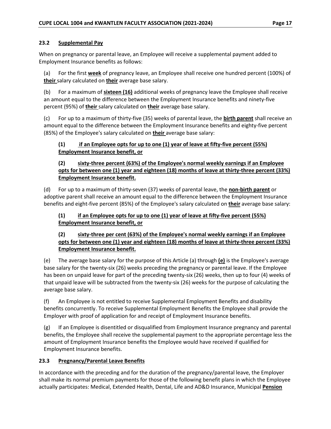### <span id="page-21-0"></span>**23.2 Supplemental Pay**

When on pregnancy or parental leave, an Employee will receive a supplemental payment added to Employment Insurance benefits as follows:

(a) For the first **week** of pregnancy leave, an Employee shall receive one hundred percent (100%) of **their** salary calculated on **their** average base salary.

(b) For a maximum of **sixteen (16)** additional weeks of pregnancy leave the Employee shall receive an amount equal to the difference between the Employment Insurance benefits and ninety-five percent (95%) of **their** salary calculated on **their** average base salary.

(c) For up to a maximum of thirty-five (35) weeks of parental leave, the **birth parent** shall receive an amount equal to the difference between the Employment Insurance benefits and eighty-five percent (85%) of the Employee's salary calculated on **their** average base salary:

# **(1) if an Employee opts for up to one (1) year of leave at fifty-five percent (55%) Employment Insurance benefit, or**

# **(2) sixty-three percent (63%) of the Employee's normal weekly earnings if an Employee opts for between one (1) year and eighteen (18) months of leave at thirty-three percent (33%) Employment Insurance benefit.**

(d) For up to a maximum of thirty-seven (37) weeks of parental leave, the **non-birth parent** or adoptive parent shall receive an amount equal to the difference between the Employment Insurance benefits and eight-five percent (85%) of the Employee's salary calculated on **their** average base salary:

# **(1) if an Employee opts for up to one (1) year of leave at fifty-five percent (55%) Employment Insurance benefit, or**

# **(2) sixty-three per cent (63%) of the Employee's normal weekly earnings if an Employee opts for between one (1) year and eighteen (18) months of leave at thirty-three percent (33%) Employment Insurance benefit.**

(e) The average base salary for the purpose of this Article (a) through **(e)** is the Employee's average base salary for the twenty-six (26) weeks preceding the pregnancy or parental leave. If the Employee has been on unpaid leave for part of the preceding twenty-six (26) weeks, then up to four (4) weeks of that unpaid leave will be subtracted from the twenty-six (26) weeks for the purpose of calculating the average base salary.

(f) An Employee is not entitled to receive Supplemental Employment Benefits and disability benefits concurrently. To receive Supplemental Employment Benefits the Employee shall provide the Employer with proof of application for and receipt of Employment Insurance benefits.

(g) If an Employee is disentitled or disqualified from Employment Insurance pregnancy and parental benefits, the Employee shall receive the supplemental payment to the appropriate percentage less the amount of Employment Insurance benefits the Employee would have received if qualified for Employment Insurance benefits.

# <span id="page-21-1"></span>**23.3 Pregnancy/Parental Leave Benefits**

In accordance with the preceding and for the duration of the pregnancy/parental leave, the Employer shall make its normal premium payments for those of the following benefit plans in which the Employee actually participates: Medical, Extended Health, Dental, Life and AD&D Insurance, Municipal **Pension**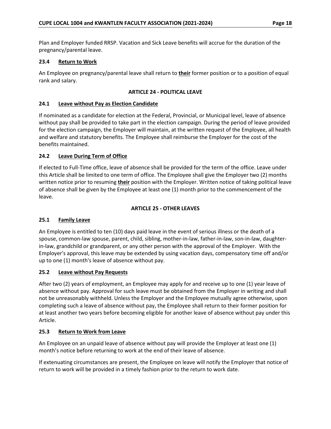Plan and Employer funded RRSP. Vacation and Sick Leave benefits will accrue for the duration of the pregnancy/parental leave.

### <span id="page-22-0"></span>**23.4 Return to Work**

An Employee on pregnancy/parental leave shall return to **their** former position or to a position of equal rank and salary.

### **ARTICLE 24 - POLITICAL LEAVE**

#### <span id="page-22-2"></span><span id="page-22-1"></span>**24.1 Leave without Pay as Election Candidate**

If nominated as a candidate for election at the Federal, Provincial, or Municipal level, leave of absence without pay shall be provided to take part in the election campaign. During the period of leave provided for the election campaign, the Employer will maintain, at the written request of the Employee, all health and welfare and statutory benefits. The Employee shall reimburse the Employer for the cost of the benefits maintained.

### <span id="page-22-3"></span>**24.2 Leave During Term of Office**

If elected to Full-Time office, leave of absence shall be provided for the term of the office. Leave under this Article shall be limited to one term of office. The Employee shall give the Employer two (2) months written notice prior to resuming **their** position with the Employer. Written notice of taking political leave of absence shall be given by the Employee at least one (1) month prior to the commencement of the leave.

#### **ARTICLE 25 - OTHER LEAVES**

### <span id="page-22-5"></span><span id="page-22-4"></span>**25.1 Family Leave**

An Employee is entitled to ten (10) days paid leave in the event of serious illness or the death of a spouse, common-law spouse, parent, child, sibling, mother-in-law, father-in-law, son-in-law, daughterin-law, grandchild or grandparent, or any other person with the approval of the Employer. With the Employer's approval, this leave may be extended by using vacation days, compensatory time off and/or up to one (1) month's leave of absence without pay.

### <span id="page-22-6"></span>**25.2 Leave without Pay Requests**

After two (2) years of employment, an Employee may apply for and receive up to one (1) year leave of absence without pay. Approval for such leave must be obtained from the Employer in writing and shall not be unreasonably withheld. Unless the Employer and the Employee mutually agree otherwise, upon completing such a leave of absence without pay, the Employee shall return to their former position for at least another two years before becoming eligible for another leave of absence without pay under this Article.

#### <span id="page-22-7"></span>**25.3 Return to Work from Leave**

An Employee on an unpaid leave of absence without pay will provide the Employer at least one (1) month's notice before returning to work at the end of their leave of absence.

If extenuating circumstances are present, the Employee on leave will notify the Employer that notice of return to work will be provided in a timely fashion prior to the return to work date.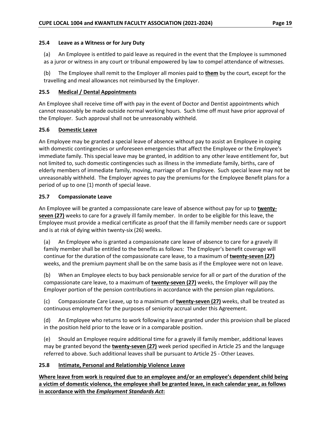### <span id="page-23-0"></span>**25.4 Leave as a Witness or for Jury Duty**

(a) An Employee is entitled to paid leave as required in the event that the Employee is summoned as a juror or witness in any court or tribunal empowered by law to compel attendance of witnesses.

(b) The Employee shall remit to the Employer all monies paid to **them** by the court, except for the travelling and meal allowances not reimbursed by the Employer.

## <span id="page-23-1"></span>**25.5 Medical / Dental Appointments**

An Employee shall receive time off with pay in the event of Doctor and Dentist appointments which cannot reasonably be made outside normal working hours. Such time off must have prior approval of the Employer. Such approval shall not be unreasonably withheld.

# <span id="page-23-2"></span>**25.6 Domestic Leave**

An Employee may be granted a special leave of absence without pay to assist an Employee in coping with domestic contingencies or unforeseen emergencies that affect the Employee or the Employee's immediate family. This special leave may be granted, in addition to any other leave entitlement for, but not limited to, such domestic contingencies such as illness in the immediate family, births, care of elderly members of immediate family, moving, marriage of an Employee. Such special leave may not be unreasonably withheld. The Employer agrees to pay the premiums for the Employee Benefit plans for a period of up to one (1) month of special leave.

# <span id="page-23-3"></span>**25.7 Compassionate Leave**

An Employee will be granted a compassionate care leave of absence without pay for up to **twentyseven (27)** weeks to care for a gravely ill family member. In order to be eligible for this leave, the Employee must provide a medical certificate as proof that the ill family member needs care or support and is at risk of dying within twenty-six (26) weeks.

(a) An Employee who is granted a compassionate care leave of absence to care for a gravely ill family member shall be entitled to the benefits as follows: The Employer's benefit coverage will continue for the duration of the compassionate care leave, to a maximum of **twenty-seven (27)** weeks, and the premium payment shall be on the same basis as if the Employee were not on leave.

(b) When an Employee elects to buy back pensionable service for all or part of the duration of the compassionate care leave, to a maximum of **twenty-seven (27)** weeks, the Employer will pay the Employer portion of the pension contributions in accordance with the pension plan regulations.

(c) Compassionate Care Leave, up to a maximum of **twenty-seven (27)** weeks, shall be treated as continuous employment for the purposes of seniority accrual under this Agreement.

(d) An Employee who returns to work following a leave granted under this provision shall be placed in the position held prior to the leave or in a comparable position.

(e) Should an Employee require additional time for a gravely ill family member, additional leaves may be granted beyond the **twenty-seven (27)** week period specified in Article 25 and the language referred to above. Such additional leaves shall be pursuant to Article 25 - Other Leaves.

# <span id="page-23-4"></span>**25.8 Intimate, Personal and Relationship Violence Leave**

**Where leave from work is required due to an employee and/or an employee's dependent child being a victim of domestic violence, the employee shall be granted leave, in each calendar year, as follows in accordance with the** *Employment Standards Act***:**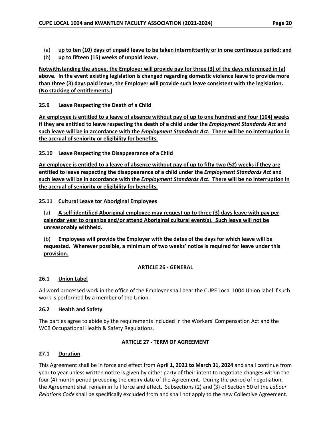- (a) **up to ten (10) days of unpaid leave to be taken intermittently or in one continuous period; and**
- (b) **up to fifteen (15) weeks of unpaid leave.**

**Notwithstanding the above, the Employer will provide pay for three (3) of the days referenced in (a) above. In the event existing legislation is changed regarding domestic violence leave to provide more than three (3) days paid leave, the Employer will provide such leave consistent with the legislation. (No stacking of entitlements.)**

## <span id="page-24-0"></span>**25.9 Leave Respecting the Death of a Child**

**An employee is entitled to a leave of absence without pay of up to one hundred and four (104) weeks if they are entitled to leave respecting the death of a child under the** *Employment Standards Act* **and such leave will be in accordance with the** *Employment Standards Act***. There will be no interruption in the accrual of seniority or eligibility for benefits.**

<span id="page-24-1"></span>**25.10 Leave Respecting the Disappearance of a Child**

**An employee is entitled to a leave of absence without pay of up to fifty-two (52) weeks if they are entitled to leave respecting the disappearance of a child under the** *Employment Standards Act* **and such leave will be in accordance with the** *Employment Standards Act***. There will be no interruption in the accrual of seniority or eligibility for benefits.**

## <span id="page-24-2"></span>**25.11 Cultural Leave tor Aboriginal Employees**

(a) **A self-identified Aboriginal employee may request up to three (3) days leave with pay per calendar year to organize and/or attend Aboriginal cultural event(s). Such leave will not be unreasonably withheld.**

(b) **Employees will provide the Employer with the dates of the days for which leave will be requested. Wherever possible, a minimum of two weeks' notice is required for leave under this provision.**

### **ARTICLE 26 - GENERAL**

### <span id="page-24-4"></span><span id="page-24-3"></span>**26.1 Union Label**

All word processed work in the office of the Employer shall bear the CUPE Local 1004 Union label if such work is performed by a member of the Union.

### <span id="page-24-5"></span>**26.2 Health and Safety**

The parties agree to abide by the requirements included in the Workers' Compensation Act and the WCB Occupational Health & Safety Regulations.

### **ARTICLE 27 - TERM OF AGREEMENT**

### <span id="page-24-7"></span><span id="page-24-6"></span>**27.1 Duration**

This Agreement shall be in force and effect from **April 1, 2021 to March 31, 2024** and shall continue from year to year unless written notice is given by either party of their intent to negotiate changes within the four (4) month period preceding the expiry date of the Agreement. During the period of negotiation, the Agreement shall remain in full force and effect. Subsections (2) and (3) of Section 50 of the *Labour Relations Code* shall be specifically excluded from and shall not apply to the new Collective Agreement.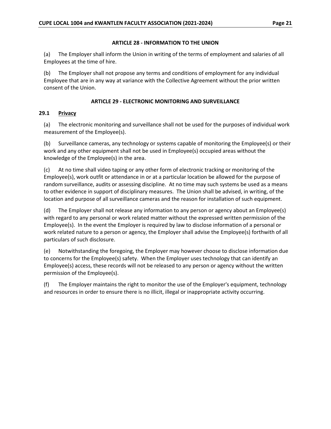### **ARTICLE 28 - INFORMATION TO THE UNION**

<span id="page-25-0"></span>(a) The Employer shall inform the Union in writing of the terms of employment and salaries of all Employees at the time of hire.

(b) The Employer shall not propose any terms and conditions of employment for any individual Employee that are in any way at variance with the Collective Agreement without the prior written consent of the Union.

## **ARTICLE 29 - ELECTRONIC MONITORING AND SURVEILLANCE**

## <span id="page-25-2"></span><span id="page-25-1"></span>**29.1 Privacy**

(a) The electronic monitoring and surveillance shall not be used for the purposes of individual work measurement of the Employee(s).

(b) Surveillance cameras, any technology or systems capable of monitoring the Employee(s) or their work and any other equipment shall not be used in Employee(s) occupied areas without the knowledge of the Employee(s) in the area.

(c) At no time shall video taping or any other form of electronic tracking or monitoring of the Employee(s), work outfit or attendance in or at a particular location be allowed for the purpose of random surveillance, audits or assessing discipline. At no time may such systems be used as a means to other evidence in support of disciplinary measures. The Union shall be advised, in writing, of the location and purpose of all surveillance cameras and the reason for installation of such equipment.

(d) The Employer shall not release any information to any person or agency about an Employee(s) with regard to any personal or work related matter without the expressed written permission of the Employee(s). In the event the Employer is required by law to disclose information of a personal or work related nature to a person or agency, the Employer shall advise the Employee(s) forthwith of all particulars of such disclosure.

(e) Notwithstanding the foregoing, the Employer may however choose to disclose information due to concerns for the Employee(s) safety. When the Employer uses technology that can identify an Employee(s) access, these records will not be released to any person or agency without the written permission of the Employee(s).

(f) The Employer maintains the right to monitor the use of the Employer's equipment, technology and resources in order to ensure there is no illicit, illegal or inappropriate activity occurring.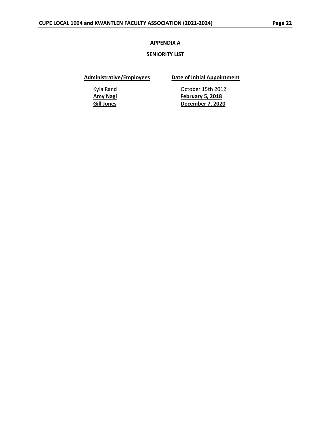#### **APPENDIX A**

#### **SENIORITY LIST**

<span id="page-26-1"></span><span id="page-26-0"></span>**Administrative/Employees Date of Initial Appointment**

Kyla Rand **Canadia Controller Controller 15th 2012 Amy Nagi February 5, 2018 Gill Jones December 7, 2020**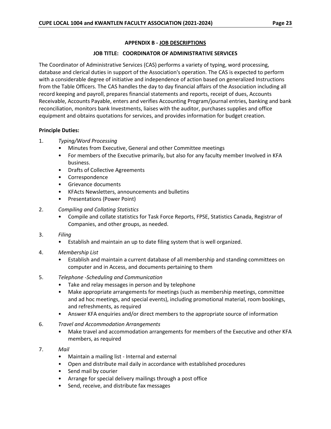## **APPENDIX B - JOB DESCRIPTIONS**

### **JOB TITLE: COORDINATOR OF ADMINISTRATIVE SERVICES**

<span id="page-27-1"></span><span id="page-27-0"></span>The Coordinator of Administrative Services (CAS) performs a variety of typing, word processing, database and clerical duties in support of the Association's operation. The CAS is expected to perform with a considerable degree of initiative and independence of action based on generalized Instructions from the Table Officers. The CAS handles the day to day financial affairs of the Association including all record keeping and payroll, prepares financial statements and reports, receipt of dues, Accounts Receivable, Accounts Payable, enters and verifies Accounting Program/journal entries, banking and bank reconciliation, monitors bank Investments, liaises with the auditor, purchases supplies and office equipment and obtains quotations for services, and provides information for budget creation.

## **Principle Duties:**

## 1. *Typing/Word Processing*

- Minutes from Executive, General and other Committee meetings
- For members of the Executive primarily, but also for any faculty member Involved in KFA business.
- Drafts of Collective Agreements
- Correspondence
- Grievance documents
- KFActs Newsletters, announcements and bulletins
- Presentations (Power Point)
- 2. *Compiling and Collating Statistics*
	- Compile and collate statistics for Task Force Reports, FPSE, Statistics Canada, Registrar of Companies, and other groups, as needed.
- 3. *Filing*
	- Establish and maintain an up to date filing system that is well organized.
- 4. *Membership List*
	- Establish and maintain a current database of all membership and standing committees on computer and in Access, and documents pertaining to them
- 5. *Telephone -Scheduling and Communication*
	- Take and relay messages in person and by telephone
	- Make appropriate arrangements for meetings (such as membership meetings, committee and ad hoc meetings, and special events), including promotional material, room bookings, and refreshments, as required
	- Answer KFA enquiries and/or direct members to the appropriate source of information
- 6. *Travel and Accommodation Arrangements*
	- Make travel and accommodation arrangements for members of the Executive and other KFA members, as required
- 7. *Mail*
	- Maintain a mailing list Internal and external
	- Open and distribute mail daily in accordance with established procedures
	- Send mail by courier
	- Arrange for special delivery mailings through a post office
	- Send, receive, and distribute fax messages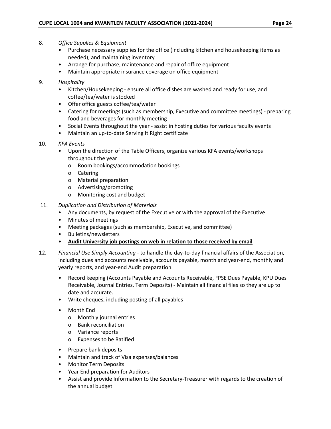- 8. *Office Supplies & Equipment*
	- Purchase necessary supplies for the office (including kitchen and housekeeping items as needed), and maintaining inventory
	- Arrange for purchase, maintenance and repair of office equipment
	- Maintain appropriate insurance coverage on office equipment

### 9. *Hospitality*

- Kitchen/Housekeeping ensure all office dishes are washed and ready for use, and coffee/tea/water is stocked
- Offer office guests coffee/tea/water
- Catering for meetings (such as membership, Executive and committee meetings) preparing food and beverages for monthly meeting
- Social Events throughout the year assist in hosting duties for various faculty events
- Maintain an up-to-date Serving It Right certificate
- 10. *KFA Events*
	- Upon the direction of the Table Officers, organize various KFA events/workshops throughout the year
		- o Room bookings/accommodation bookings
		- o Catering
		- o Material preparation
		- o Advertising/promoting
		- o Monitoring cost and budget
- 11. *Duplication and Distribution of Materials*
	- Any documents, by request of the Executive or with the approval of the Executive
	- Minutes of meetings
	- Meeting packages (such as membership, Executive, and committee)
	- Bulletins/newsletters
	- **Audit University job postings on web in relation to those received by email**
- 12. *Financial Use Simply Accounting* to handle the day-to-day financial affairs of the Association, including dues and accounts receivable, accounts payable, month and year-end, monthly and yearly reports, and year-end Audit preparation.
	- Record keeping (Accounts Payable and Accounts Receivable, FPSE Dues Payable, KPU Dues Receivable, Journal Entries, Term Deposits) - Maintain all financial files so they are up to date and accurate.
	- Write cheques, including posting of all payables
	- Month End
		- o Monthly journal entries
		- o Bank reconciliation
		- o Variance reports
		- o Expenses to be Ratified
	- Prepare bank deposits
	- Maintain and track of Visa expenses/balances
	- Monitor Term Deposits
	- Year End preparation for Auditors
	- Assist and provide Information to the Secretary-Treasurer with regards to the creation of the annual budget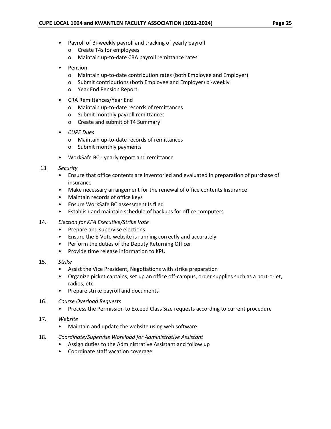- Payroll of Bi-weekly payroll and tracking of yearly payroll
	- o Create T4s for employees
	- o Maintain up-to-date CRA payroll remittance rates
- **Pension** 
	- o Maintain up-to-date contribution rates (both Employee and Employer)
	- o Submit contributions (both Employee and Employer) bi-weekly
	- o Year End Pension Report
- CRA Remittances/Year End
	- o Maintain up-to-date records of remittances
	- o Submit monthly payroll remittances
	- o Create and submit of T4 Summary
- *• CUPE Dues*
	- o Maintain up-to-date records of remittances
	- o Submit monthly payments
- WorkSafe BC yearly report and remittance
- 13. *Security*
	- Ensure that office contents are inventoried and evaluated in preparation of purchase of insurance
	- Make necessary arrangement for the renewal of office contents Insurance
	- Maintain records of office keys
	- Ensure WorkSafe BC assessment Is flied
	- Establish and maintain schedule of backups for office computers
- 14. *Election for KFA Executive/Strike Vote*
	- Prepare and supervise elections
	- Ensure the E-Vote website is running correctly and accurately
	- Perform the duties of the Deputy Returning Officer
	- Provide time release information to KPU
- 15. *Strike*
	- Assist the Vice President, Negotiations with strike preparation
	- Organize picket captains, set up an office off-campus, order supplies such as a port-o-Iet, radios, etc.
	- Prepare strike payroll and documents
- 16. *Course Overload Requests*
	- Process the Permission to Exceed Class Size requests according to current procedure
- 17. *Website*
	- Maintain and update the website using web software
- 18. *Coordinate/Supervise Workload for Administrative Assistant*
	- Assign duties to the Administrative Assistant and follow up
	- Coordinate staff vacation coverage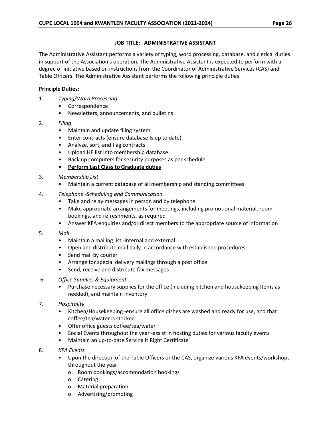## **JOB TITLE: ADMINISTRATIVE ASSISTANT**

<span id="page-30-0"></span>The Administrative Assistant performs a variety of typing, word processing, database, and clerical duties in support of the Association's operation. The Administrative Assistant is expected to perform with a degree of initiative based on instructions from the Coordinator of Administrative Services (CAS) and Table Officers. The Administrative Assistant performs the following principle duties:

# **Principle Duties:**

- 1. *Typing/Word Processing*
	- Correspondence
	- Newsletters, announcements, and bulletins
- 2. *Filing*
	- Maintain and update filing system
	- Enter contracts (ensure database Is up to date)
	- Analyze, sort, and flag contracts
	- Upload HE list into membership database
	- Back up computers for security purposes as per schedule
	- **• Perform Last Class to Graduate duties**
- 3. *Membership List*
	- Maintain a current database of all membership and standing committees
- 4. *Telephone* -*Scheduling and Communication*
	- Take and relay messages in person and by telephone
	- Make appropriate arrangements for meetings, including promotional material, room bookings, and refreshments, as required
	- Answer KFA enquiries and/or direct members to the appropriate source of information
- 5. *Mail*
	- Maintain a mailing list -internal and external
	- Open and distribute mail dally in accordance with established procedures
	- Send mall by courier
	- Arrange for special delivery mailings through a post office
	- Send, receive and distribute fax messages
- 6. *Office Supplies & Equipment*
	- Purchase necessary supplies for the office (including kitchen and housekeeping Items as needed), and maintain inventory
- 7. *Hospitality*
	- Kitchen/Housekeeping -ensure all office dishes are washed and ready for use, and that coffee/tea/water is stocked
	- Offer office guests coffee/tea/water
	- Social Events throughout the year -assist in hosting duties for various faculty events
	- Maintain an up-to-date Serving It Right Certificate
- 8. *KFA Events*
	- Upon the direction of the Table Officers or the CAS, organize various KFA events/workshops throughout the year
		- o Room bookings/accommodation bookings
		- o Catering
		- o Material preparation
		- o Advertising/promoting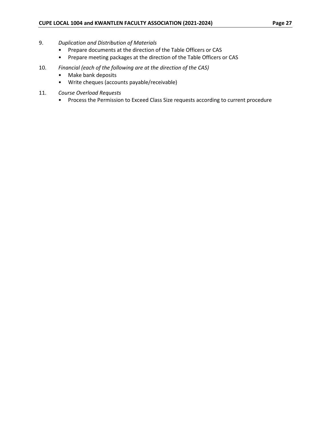- 9. *Duplication and Distribution of Materials*
	- Prepare documents at the direction of the Table Officers or CAS
	- Prepare meeting packages at the direction of the Table Officers or CAS
- 10. *Financial (each of the following are at the direction of the CAS)*
	- Make bank deposits
	- Write cheques (accounts payable/receivable)
- 11. *Course Overload Requests*
	- Process the Permission to Exceed Class Size requests according to current procedure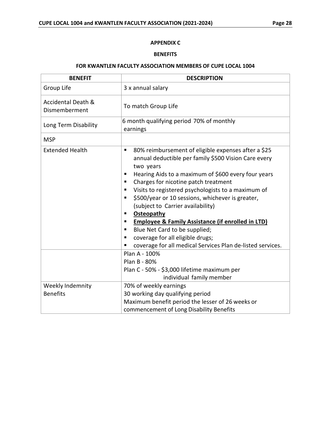# **APPENDIX C**

#### **BENEFITS**

#### **FOR KWANTLEN FACULTY ASSOCIATION MEMBERS OF CUPE LOCAL 1004**

<span id="page-32-1"></span><span id="page-32-0"></span>

| <b>BENEFIT</b>                                 | <b>DESCRIPTION</b>                                                                                                                                                                                                                                                                                                                                                                                                                                                                                                                                                                                                                   |  |
|------------------------------------------------|--------------------------------------------------------------------------------------------------------------------------------------------------------------------------------------------------------------------------------------------------------------------------------------------------------------------------------------------------------------------------------------------------------------------------------------------------------------------------------------------------------------------------------------------------------------------------------------------------------------------------------------|--|
| Group Life                                     | 3 x annual salary                                                                                                                                                                                                                                                                                                                                                                                                                                                                                                                                                                                                                    |  |
| <b>Accidental Death &amp;</b><br>Dismemberment | To match Group Life                                                                                                                                                                                                                                                                                                                                                                                                                                                                                                                                                                                                                  |  |
| Long Term Disability                           | 6 month qualifying period 70% of monthly<br>earnings                                                                                                                                                                                                                                                                                                                                                                                                                                                                                                                                                                                 |  |
| <b>MSP</b>                                     |                                                                                                                                                                                                                                                                                                                                                                                                                                                                                                                                                                                                                                      |  |
| <b>Extended Health</b>                         | 80% reimbursement of eligible expenses after a \$25<br>٠<br>annual deductible per family \$500 Vision Care every<br>two years<br>Hearing Aids to a maximum of \$600 every four years<br>п<br>Charges for nicotine patch treatment<br>٠<br>Visits to registered psychologists to a maximum of<br>٠<br>\$500/year or 10 sessions, whichever is greater,<br>п<br>(subject to Carrier availability)<br>Osteopathy<br>п<br><b>Employee &amp; Family Assistance (if enrolled in LTD)</b><br>п<br>Blue Net Card to be supplied;<br>٠<br>coverage for all eligible drugs;<br>п<br>coverage for all medical Services Plan de-listed services. |  |
|                                                | Plan A - 100%<br>Plan B - 80%<br>Plan C - 50% - \$3,000 lifetime maximum per<br>individual family member                                                                                                                                                                                                                                                                                                                                                                                                                                                                                                                             |  |
| Weekly Indemnity<br><b>Benefits</b>            | 70% of weekly earnings<br>30 working day qualifying period<br>Maximum benefit period the lesser of 26 weeks or<br>commencement of Long Disability Benefits                                                                                                                                                                                                                                                                                                                                                                                                                                                                           |  |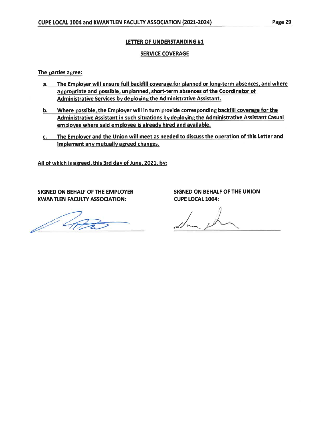## LETTER OF UNDERSTANDING #1

## **SERVICE COVERAGE**

The parties agree:

- The Employer will ensure full backfill coverage for planned or long-term absences, and where  $a_{-}$ appropriate and possible, unplanned, short-term absences of the Coordinator of Administrative Services by deploying the Administrative Assistant.
- b. Where possible, the Employer will in turn provide corresponding backfill coverage for the Administrative Assistant in such situations by deploying the Administrative Assistant Casual employee where said employee is already hired and available.
- The Employer and the Union will meet as needed to discuss the operation of this Letter and  $c.$ implement any mutually agreed changes.

All of which is agreed, this 3rd day of June, 2021, by:

SIGNED ON BEHALF OF THE EMPLOYER **KWANTLEN FACULTY ASSOCIATION:** 

**SIGNED ON BEHALF OF THE UNION CUPE LOCAL 1004:**